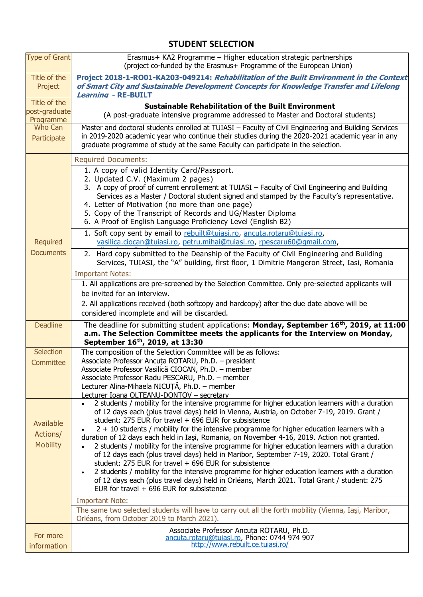## **STUDENT SELECTION**

| <b>Type of Grant</b>                       | Erasmus+ KA2 Programme - Higher education strategic partnerships<br>(project co-funded by the Erasmus+ Programme of the European Union)                                                                                                                                                                                                                                                                                                                                                                                                                                                                                                                                                                                                                                                                                                                                                                                                                                                                                                                                                                                                                           |
|--------------------------------------------|-------------------------------------------------------------------------------------------------------------------------------------------------------------------------------------------------------------------------------------------------------------------------------------------------------------------------------------------------------------------------------------------------------------------------------------------------------------------------------------------------------------------------------------------------------------------------------------------------------------------------------------------------------------------------------------------------------------------------------------------------------------------------------------------------------------------------------------------------------------------------------------------------------------------------------------------------------------------------------------------------------------------------------------------------------------------------------------------------------------------------------------------------------------------|
| Title of the<br>Project                    | Project 2018-1-RO01-KA203-049214: Rehabilitation of the Built Environment in the Context<br>of Smart City and Sustainable Development Concepts for Knowledge Transfer and Lifelong<br><b>Learning - RE-BUILT</b>                                                                                                                                                                                                                                                                                                                                                                                                                                                                                                                                                                                                                                                                                                                                                                                                                                                                                                                                                  |
| Title of the<br>post-graduate<br>Programme | <b>Sustainable Rehabilitation of the Built Environment</b><br>(A post-graduate intensive programme addressed to Master and Doctoral students)                                                                                                                                                                                                                                                                                                                                                                                                                                                                                                                                                                                                                                                                                                                                                                                                                                                                                                                                                                                                                     |
| Who Can<br>Participate                     | Master and doctoral students enrolled at TUIASI - Faculty of Civil Engineering and Building Services<br>in 2019-2020 academic year who continue their studies during the 2020-2021 academic year in any<br>graduate programme of study at the same Faculty can participate in the selection.                                                                                                                                                                                                                                                                                                                                                                                                                                                                                                                                                                                                                                                                                                                                                                                                                                                                      |
| <b>Required</b><br><b>Documents</b>        | <b>Required Documents:</b><br>1. A copy of valid Identity Card/Passport.<br>2. Updated C.V. (Maximum 2 pages)<br>3. A copy of proof of current enrollement at TUIASI – Faculty of Civil Engineering and Building<br>Services as a Master / Doctoral student signed and stamped by the Faculty's representative.<br>4. Letter of Motivation (no more than one page)<br>5. Copy of the Transcript of Records and UG/Master Diploma<br>6. A Proof of English Language Proficiency Level (English B2)<br>1. Soft copy sent by email to rebuilt@tuiasi.ro, ancuta.rotaru@tuiasi.ro,<br>vasilica.ciocan@tuiasi.ro, petru.mihai@tuiasi.ro, rpescaru60@qmail.com,<br>2. Hard copy submitted to the Deanship of the Faculty of Civil Engineering and Building<br>Services, TUIASI, the "A" building, first floor, 1 Dimitrie Mangeron Street, Iasi, Romania<br><b>Important Notes:</b><br>1. All applications are pre-screened by the Selection Committee. Only pre-selected applicants will<br>be invited for an interview.<br>2. All applications received (both softcopy and hardcopy) after the due date above will be<br>considered incomplete and will be discarded. |
| <b>Deadline</b>                            | The deadline for submitting student applications: Monday, September 16 <sup>th</sup> , 2019, at 11:00<br>a.m. The Selection Committee meets the applicants for the Interview on Monday,<br>September 16th, 2019, at 13:30                                                                                                                                                                                                                                                                                                                                                                                                                                                                                                                                                                                                                                                                                                                                                                                                                                                                                                                                         |
| Selection<br>Committee                     | The composition of the Selection Committee will be as follows:<br>Associate Professor Ancuța ROTARU, Ph.D. - president<br>Associate Professor Vasilică CIOCAN, Ph.D. - member<br>Associate Professor Radu PESCARU, Ph.D. - member<br>Lecturer Alina-Mihaela NICUTĂ, Ph.D. - member<br>Lecturer Ioana OLTEANU-DONTOV - secretary                                                                                                                                                                                                                                                                                                                                                                                                                                                                                                                                                                                                                                                                                                                                                                                                                                   |
| Available<br>Actions/<br><b>Mobility</b>   | 2 students / mobility for the intensive programme for higher education learners with a duration<br>of 12 days each (plus travel days) held in Vienna, Austria, on October 7-19, 2019. Grant /<br>student: 275 EUR for travel + 696 EUR for subsistence<br>2 + 10 students / mobility for the intensive programme for higher education learners with a<br>duration of 12 days each held in Iaşi, Romania, on November 4-16, 2019. Action not granted.<br>2 students / mobility for the intensive programme for higher education learners with a duration<br>of 12 days each (plus travel days) held in Maribor, September 7-19, 2020. Total Grant /<br>student: 275 EUR for travel $+$ 696 EUR for subsistence<br>2 students / mobility for the intensive programme for higher education learners with a duration<br>$\bullet$<br>of 12 days each (plus travel days) held in Orléans, March 2021. Total Grant / student: 275<br>EUR for travel $+696$ EUR for subsistence<br><b>Important Note:</b><br>The same two selected students will have to carry out all the forth mobility (Vienna, Iaşi, Maribor,<br>Orléans, from October 2019 to March 2021).          |
| For more<br>information                    | Associate Professor Ancuta ROTARU, Ph.D.<br>ancuta.rotaru@tuiasi.ro, Phone: 0744 974 907<br>http://www.rebuilt.ce.tuiasi.ro/                                                                                                                                                                                                                                                                                                                                                                                                                                                                                                                                                                                                                                                                                                                                                                                                                                                                                                                                                                                                                                      |